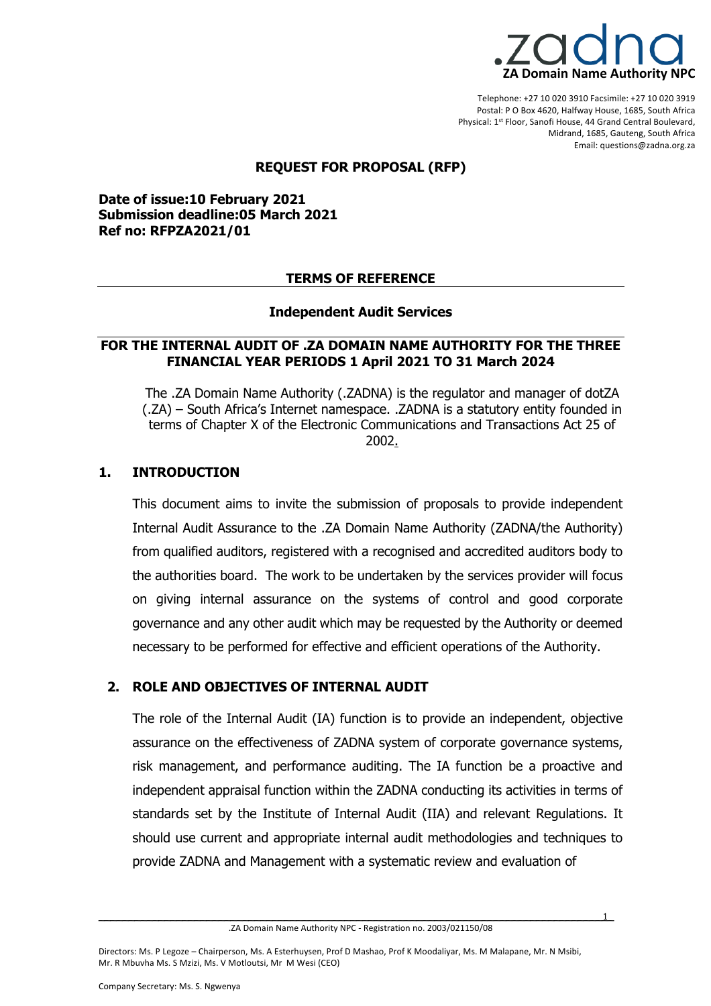

Telephone: +27 10 020 3910 Facsimile: +27 10 020 3919 Postal: P O Box 4620, Halfway House, 1685, South Africa Physical: 1st Floor, Sanofi House, 44 Grand Central Boulevard, Midrand, 1685, Gauteng, South Africa Email: questions@zadna.org.za

#### **REQUEST FOR PROPOSAL (RFP)**

**Date of issue:10 February 2021 Submission deadline:05 March 2021 Ref no: RFPZA2021/01**

#### **TERMS OF REFERENCE**

#### **Independent Audit Services**

### **FOR THE INTERNAL AUDIT OF .ZA DOMAIN NAME AUTHORITY FOR THE THREE FINANCIAL YEAR PERIODS 1 April 2021 TO 31 March 2024**

The .ZA Domain Name Authority (.ZADNA) is the regulator and manager of dotZA (.ZA) – South Africa's Internet namespace. .ZADNA is a statutory entity founded in terms of Chapter X of the Electronic Communications and Transactions Act 25 of 2002.

### **1. INTRODUCTION**

This document aims to invite the submission of proposals to provide independent Internal Audit Assurance to the .ZA Domain Name Authority (ZADNA/the Authority) from qualified auditors, registered with a recognised and accredited auditors body to the authorities board. The work to be undertaken by the services provider will focus on giving internal assurance on the systems of control and good corporate governance and any other audit which may be requested by the Authority or deemed necessary to be performed for effective and efficient operations of the Authority.

### **2. ROLE AND OBJECTIVES OF INTERNAL AUDIT**

The role of the Internal Audit (IA) function is to provide an independent, objective assurance on the effectiveness of ZADNA system of corporate governance systems, risk management, and performance auditing. The IA function be a proactive and independent appraisal function within the ZADNA conducting its activities in terms of standards set by the Institute of Internal Audit (IIA) and relevant Regulations. It should use current and appropriate internal audit methodologies and techniques to provide ZADNA and Management with a systematic review and evaluation of

\_\_\_\_\_\_\_\_\_\_\_\_\_\_\_\_\_\_\_\_\_\_\_\_\_\_\_\_\_\_\_\_\_\_\_\_\_\_\_\_\_\_\_\_\_\_\_\_\_\_\_\_\_\_\_\_\_\_\_\_\_\_\_\_\_\_\_\_\_\_\_\_\_\_\_\_\_\_\_\_\_\_\_\_\_\_1 .ZA Domain Name Authority NPC - Registration no. 2003/021150/08

Directors: Ms. P Legoze – Chairperson, Ms. A Esterhuysen, Prof D Mashao, Prof K Moodaliyar, Ms. M Malapane, Mr. N Msibi, Mr. R Mbuvha Ms. S Mzizi, Ms. V Motloutsi, Mr M Wesi (CEO)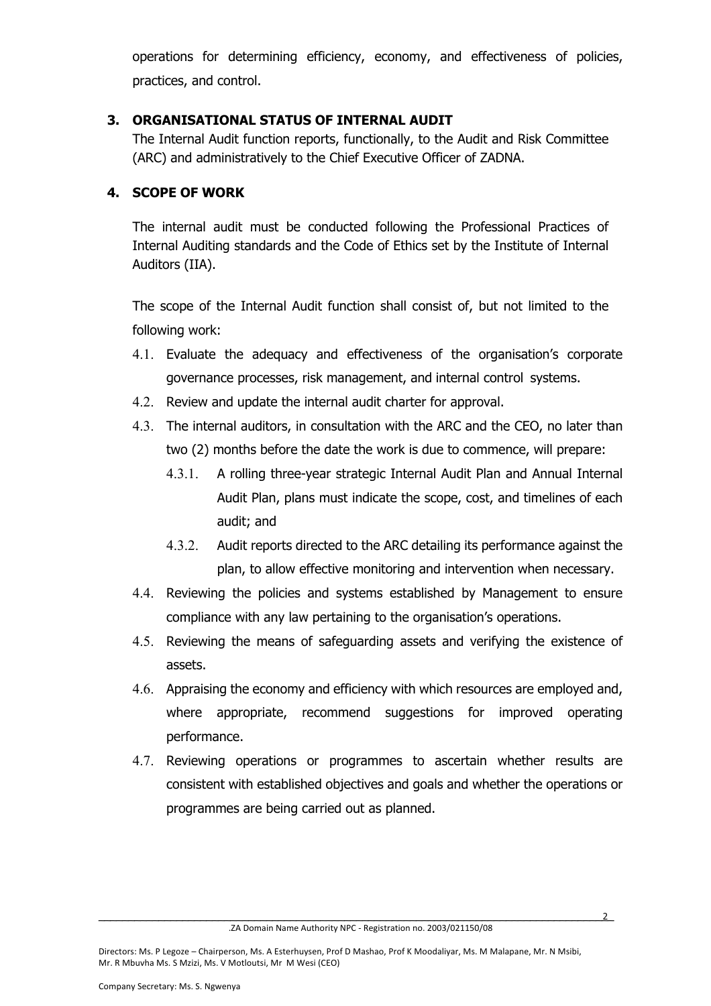operations for determining efficiency, economy, and effectiveness of policies, practices, and control.

# **3. ORGANISATIONAL STATUS OF INTERNAL AUDIT**

The Internal Audit function reports, functionally, to the Audit and Risk Committee (ARC) and administratively to the Chief Executive Officer of ZADNA.

# **4. SCOPE OF WORK**

The internal audit must be conducted following the Professional Practices of Internal Auditing standards and the Code of Ethics set by the Institute of Internal Auditors (IIA).

The scope of the Internal Audit function shall consist of, but not limited to the following work:

- 4.1. Evaluate the adequacy and effectiveness of the organisation's corporate governance processes, risk management, and internal control systems.
- 4.2. Review and update the internal audit charter for approval.
- 4.3. The internal auditors, in consultation with the ARC and the CEO, no later than two (2) months before the date the work is due to commence, will prepare:
	- 4.3.1. A rolling three-year strategic Internal Audit Plan and Annual Internal Audit Plan, plans must indicate the scope, cost, and timelines of each audit; and
	- 4.3.2. Audit reports directed to the ARC detailing its performance against the plan, to allow effective monitoring and intervention when necessary.
- 4.4. Reviewing the policies and systems established by Management to ensure compliance with any law pertaining to the organisation's operations.
- 4.5. Reviewing the means of safeguarding assets and verifying the existence of assets.
- 4.6. Appraising the economy and efficiency with which resources are employed and, where appropriate, recommend suggestions for improved operating performance.
- 4.7. Reviewing operations or programmes to ascertain whether results are consistent with established objectives and goals and whether the operations or programmes are being carried out as planned.

\_\_\_\_\_\_\_\_\_\_\_\_\_\_\_\_\_\_\_\_\_\_\_\_\_\_\_\_\_\_\_\_\_\_\_\_\_\_\_\_\_\_\_\_\_\_\_\_\_\_\_\_\_\_\_\_\_\_\_\_\_\_\_\_\_\_\_\_\_\_\_\_\_\_\_\_\_\_\_\_\_\_\_\_\_\_2 .ZA Domain Name Authority NPC - Registration no. 2003/021150/08

Directors: Ms. P Legoze – Chairperson, Ms. A Esterhuysen, Prof D Mashao, Prof K Moodaliyar, Ms. M Malapane, Mr. N Msibi, Mr. R Mbuvha Ms. S Mzizi, Ms. V Motloutsi, Mr M Wesi (CEO)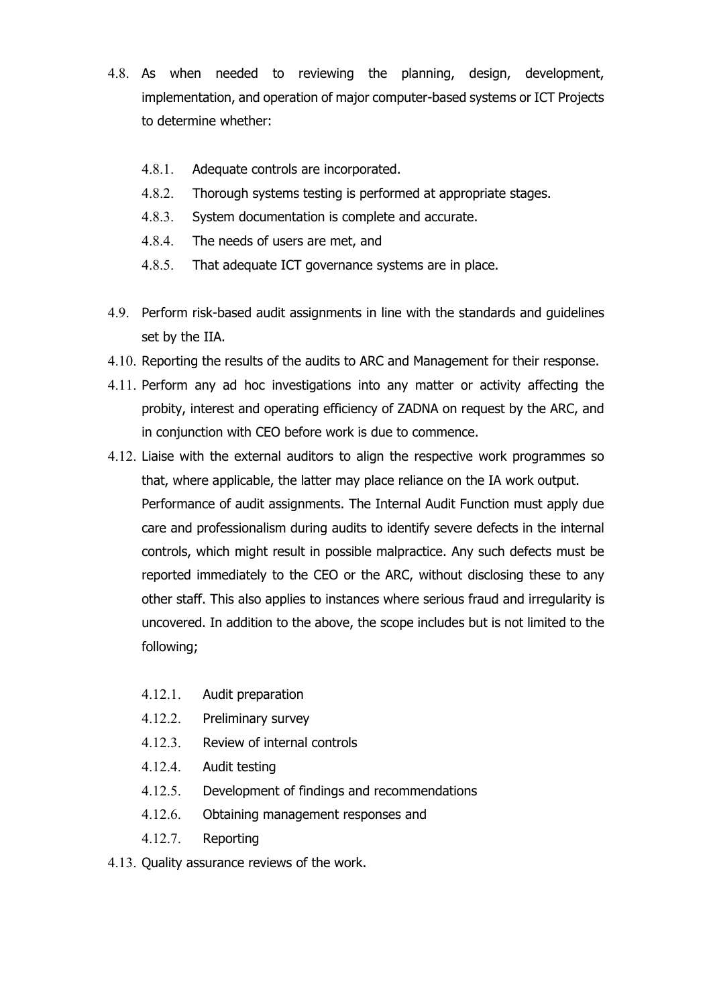- 4.8. As when needed to reviewing the planning, design, development, implementation, and operation of major computer-based systems or ICT Projects to determine whether:
	- 4.8.1. Adequate controls are incorporated.
	- 4.8.2. Thorough systems testing is performed at appropriate stages.
	- 4.8.3. System documentation is complete and accurate.
	- 4.8.4. The needs of users are met, and
	- 4.8.5. That adequate ICT governance systems are in place.
- 4.9. Perform risk-based audit assignments in line with the standards and guidelines set by the IIA.
- 4.10. Reporting the results of the audits to ARC and Management for their response.
- 4.11. Perform any ad hoc investigations into any matter or activity affecting the probity, interest and operating efficiency of ZADNA on request by the ARC, and in conjunction with CEO before work is due to commence.
- 4.12. Liaise with the external auditors to align the respective work programmes so that, where applicable, the latter may place reliance on the IA work output. Performance of audit assignments. The Internal Audit Function must apply due care and professionalism during audits to identify severe defects in the internal controls, which might result in possible malpractice. Any such defects must be reported immediately to the CEO or the ARC, without disclosing these to any other staff. This also applies to instances where serious fraud and irregularity is uncovered. In addition to the above, the scope includes but is not limited to the following;
	- 4.12.1. Audit preparation
	- 4.12.2. Preliminary survey
	- 4.12.3. Review of internal controls
	- 4.12.4. Audit testing
	- 4.12.5. Development of findings and recommendations
	- 4.12.6. Obtaining management responses and
	- 4.12.7. Reporting
- 4.13. Quality assurance reviews of the work.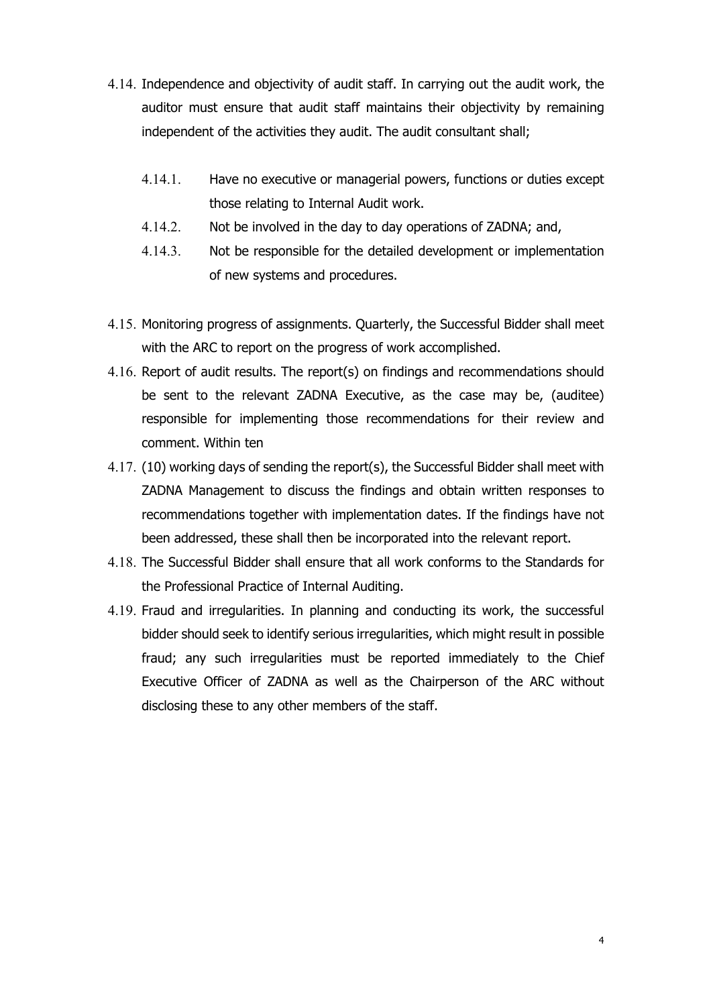- 4.14. Independence and objectivity of audit staff. In carrying out the audit work, the auditor must ensure that audit staff maintains their objectivity by remaining independent of the activities they audit. The audit consultant shall;
	- 4.14.1. Have no executive or managerial powers, functions or duties except those relating to Internal Audit work.
	- 4.14.2. Not be involved in the day to day operations of ZADNA; and,
	- 4.14.3. Not be responsible for the detailed development or implementation of new systems and procedures.
- 4.15. Monitoring progress of assignments. Quarterly, the Successful Bidder shall meet with the ARC to report on the progress of work accomplished.
- 4.16. Report of audit results. The report(s) on findings and recommendations should be sent to the relevant ZADNA Executive, as the case may be, (auditee) responsible for implementing those recommendations for their review and comment. Within ten
- 4.17. (10) working days of sending the report(s), the Successful Bidder shall meet with ZADNA Management to discuss the findings and obtain written responses to recommendations together with implementation dates. If the findings have not been addressed, these shall then be incorporated into the relevant report.
- 4.18. The Successful Bidder shall ensure that all work conforms to the Standards for the Professional Practice of Internal Auditing.
- 4.19. Fraud and irregularities. In planning and conducting its work, the successful bidder should seek to identify serious irregularities, which might result in possible fraud; any such irregularities must be reported immediately to the Chief Executive Officer of ZADNA as well as the Chairperson of the ARC without disclosing these to any other members of the staff.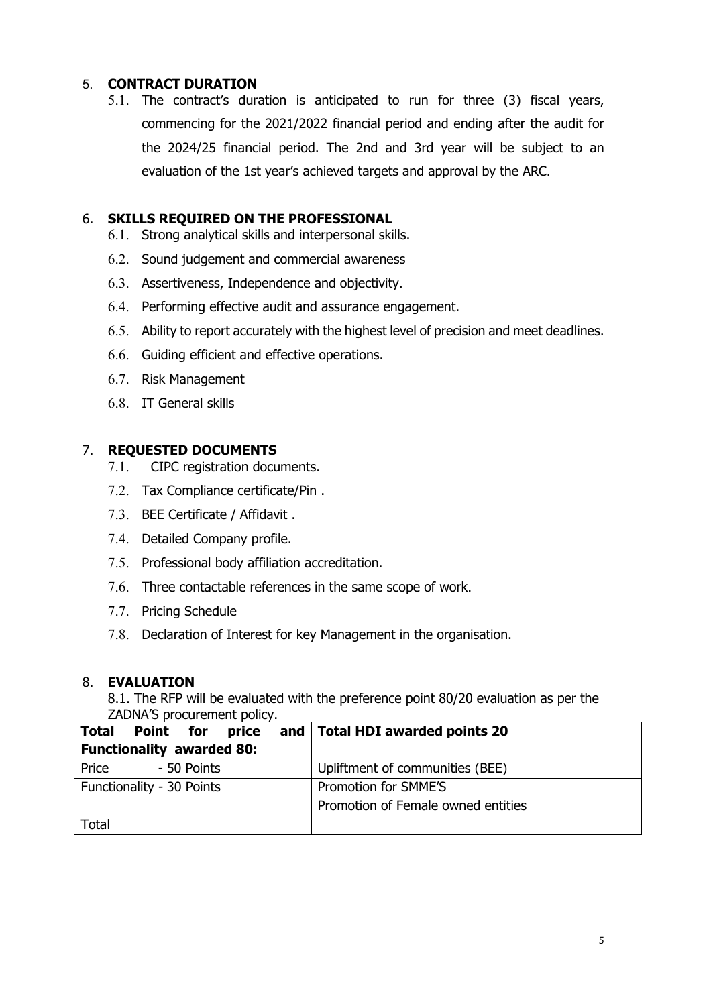# 5. **CONTRACT DURATION**

5.1. The contract's duration is anticipated to run for three (3) fiscal years, commencing for the 2021/2022 financial period and ending after the audit for the 2024/25 financial period. The 2nd and 3rd year will be subject to an evaluation of the 1st year's achieved targets and approval by the ARC.

## 6. **SKILLS REQUIRED ON THE PROFESSIONAL**

- 6.1. Strong analytical skills and interpersonal skills.
- 6.2. Sound judgement and commercial awareness
- 6.3. Assertiveness, Independence and objectivity.
- 6.4. Performing effective audit and assurance engagement.
- 6.5. Ability to report accurately with the highest level of precision and meet deadlines.
- 6.6. Guiding efficient and effective operations.
- 6.7. Risk Management
- 6.8. IT General skills

## 7. **REQUESTED DOCUMENTS**

- 7.1. CIPC registration documents.
- 7.2. Tax Compliance certificate/Pin .
- 7.3. BEE Certificate / Affidavit .
- 7.4. Detailed Company profile.
- 7.5. Professional body affiliation accreditation.
- 7.6. Three contactable references in the same scope of work.
- 7.7. Pricing Schedule
- 7.8. Declaration of Interest for key Management in the organisation.

### 8. **EVALUATION**

8.1. The RFP will be evaluated with the preference point 80/20 evaluation as per the ZADNA'S procurement policy.

|                                  | <b>Total Point for</b> |             |  |  | price and   Total HDI awarded points 20 |
|----------------------------------|------------------------|-------------|--|--|-----------------------------------------|
| <b>Functionality awarded 80:</b> |                        |             |  |  |                                         |
| Price                            |                        | - 50 Points |  |  | Upliftment of communities (BEE)         |
| Functionality - 30 Points        |                        |             |  |  | Promotion for SMME'S                    |
|                                  |                        |             |  |  | Promotion of Female owned entities      |
| <b>Total</b>                     |                        |             |  |  |                                         |